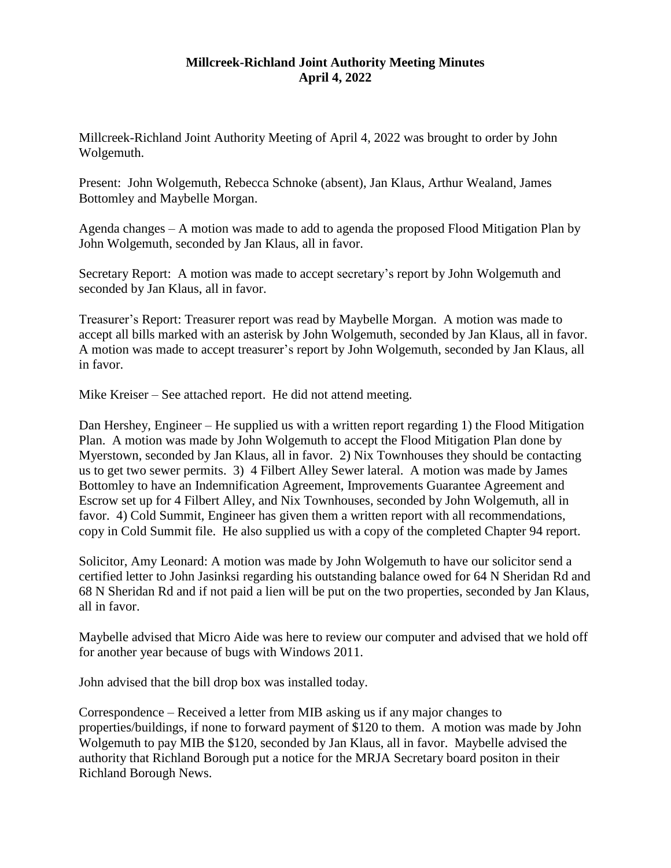## **Millcreek-Richland Joint Authority Meeting Minutes April 4, 2022**

Millcreek-Richland Joint Authority Meeting of April 4, 2022 was brought to order by John Wolgemuth.

Present: John Wolgemuth, Rebecca Schnoke (absent), Jan Klaus, Arthur Wealand, James Bottomley and Maybelle Morgan.

Agenda changes – A motion was made to add to agenda the proposed Flood Mitigation Plan by John Wolgemuth, seconded by Jan Klaus, all in favor.

Secretary Report: A motion was made to accept secretary's report by John Wolgemuth and seconded by Jan Klaus, all in favor.

Treasurer's Report: Treasurer report was read by Maybelle Morgan. A motion was made to accept all bills marked with an asterisk by John Wolgemuth, seconded by Jan Klaus, all in favor. A motion was made to accept treasurer's report by John Wolgemuth, seconded by Jan Klaus, all in favor.

Mike Kreiser – See attached report. He did not attend meeting.

Dan Hershey, Engineer – He supplied us with a written report regarding 1) the Flood Mitigation Plan. A motion was made by John Wolgemuth to accept the Flood Mitigation Plan done by Myerstown, seconded by Jan Klaus, all in favor. 2) Nix Townhouses they should be contacting us to get two sewer permits. 3) 4 Filbert Alley Sewer lateral. A motion was made by James Bottomley to have an Indemnification Agreement, Improvements Guarantee Agreement and Escrow set up for 4 Filbert Alley, and Nix Townhouses, seconded by John Wolgemuth, all in favor. 4) Cold Summit, Engineer has given them a written report with all recommendations, copy in Cold Summit file. He also supplied us with a copy of the completed Chapter 94 report.

Solicitor, Amy Leonard: A motion was made by John Wolgemuth to have our solicitor send a certified letter to John Jasinksi regarding his outstanding balance owed for 64 N Sheridan Rd and 68 N Sheridan Rd and if not paid a lien will be put on the two properties, seconded by Jan Klaus, all in favor.

Maybelle advised that Micro Aide was here to review our computer and advised that we hold off for another year because of bugs with Windows 2011.

John advised that the bill drop box was installed today.

Correspondence – Received a letter from MIB asking us if any major changes to properties/buildings, if none to forward payment of \$120 to them. A motion was made by John Wolgemuth to pay MIB the \$120, seconded by Jan Klaus, all in favor. Maybelle advised the authority that Richland Borough put a notice for the MRJA Secretary board positon in their Richland Borough News.